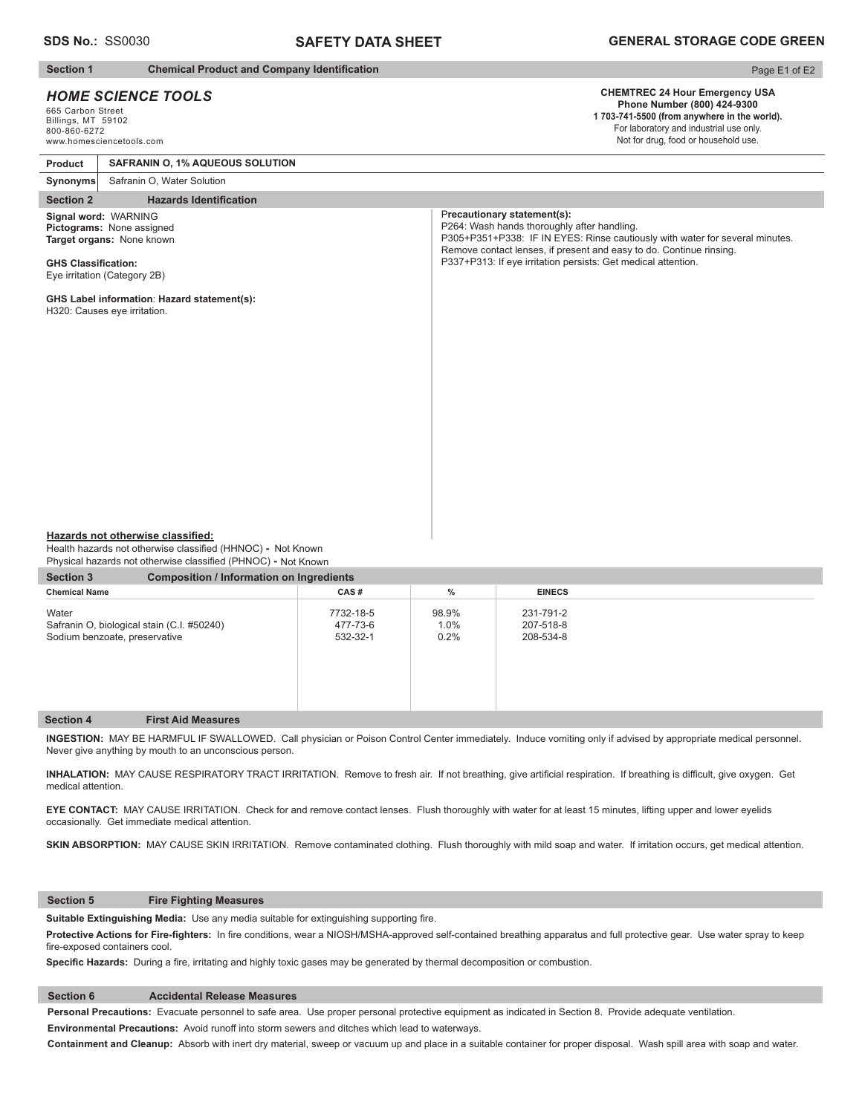#### **SAFETY DATA SHEET SDS No.:** SS0030 **GENERAL STORAGE CODE GREEN**

Page E1 of E2

## **Section 1** Chemical Product and Company Identification

# *HOME SCIENCE TOOLS*

665 Carbon Street Billings, MT 59102 800-860-6272 www.homesciencetools.com

#### **Product SAFRANIN O, 1% AQUEOUS SOLUTION**

#### **Synonyms** Safranin O, Water Solution

## **Section 2** Hazards Identification

**Signal word:** WARNING **Pictograms:** None assigned **Target organs:** None known

### **GHS Classification:**

Eye irritation (Category 2B)

**GHS Label information**: **Hazard statement(s):** H320: Causes eye irritation.

## P**recautionary statement(s):**

P264: Wash hands thoroughly after handling. P305+P351+P338: IF IN EYES: Rinse cautiously with water for several minutes. Remove contact lenses, if present and easy to do. Continue rinsing. P337+P313: If eye irritation persists: Get medical attention.

#### **Hazards not otherwise classified:**

Health hazards not otherwise classified (HHNOC) - Not Known Physical hazards not otherwise classified (PHNOC) **-** Not Known

| <b>Section 3</b><br><b>Composition / Information on Ingredients</b>                  |                                   |                       |                                     |  |  |
|--------------------------------------------------------------------------------------|-----------------------------------|-----------------------|-------------------------------------|--|--|
| <b>Chemical Name</b>                                                                 | CAS#                              | $\frac{0}{0}$         | <b>EINECS</b>                       |  |  |
| Water<br>Safranin O, biological stain (C.I. #50240)<br>Sodium benzoate, preservative | 7732-18-5<br>477-73-6<br>532-32-1 | 98.9%<br>1.0%<br>0.2% | 231-791-2<br>207-518-8<br>208-534-8 |  |  |
| $O = -41 - m$<br>First Aid Measures                                                  |                                   |                       |                                     |  |  |

#### **Section 4 First Aid Measures**

**INGESTION:** MAY BE HARMFUL IF SWALLOWED. Call physician or Poison Control Center immediately. Induce vomiting only if advised by appropriate medical personnel. Never give anything by mouth to an unconscious person.

INHALATION: MAY CAUSE RESPIRATORY TRACT IRRITATION. Remove to fresh air. If not breathing, give artificial respiration. If breathing is difficult, give oxygen. Get medical attention.

**EYE CONTACT:** MAY CAUSE IRRITATION. Check for and remove contact lenses. Flush thoroughly with water for at least 15 minutes, lifting upper and lower eyelids occasionally. Get immediate medical attention.

SKIN ABSORPTION: MAY CAUSE SKIN IRRITATION. Remove contaminated clothing. Flush thoroughly with mild soap and water. If irritation occurs, get medical attention.

#### **Section 5 Fire Fighting Measures**

Suitable Extinguishing Media: Use any media suitable for extinguishing supporting fire.

Protective Actions for Fire-fighters: In fire conditions, wear a NIOSH/MSHA-approved self-contained breathing apparatus and full protective gear. Use water spray to keep fire-exposed containers cool.

Specific Hazards: During a fire, irritating and highly toxic gases may be generated by thermal decomposition or combustion.

## **Section 6 Accidental Release Measures**

**Personal Precautions:** Evacuate personnel to safe area. Use proper personal protective equipment as indicated in Section 8. Provide adequate ventilation.

**Environmental Precautions:** Avoid runoff into storm sewers and ditches which lead to waterways.

**Containment and Cleanup:** Absorb with inert dry material, sweep or vacuum up and place in a suitable container for proper disposal. Wash spill area with soap and water.

## **CHEMTREC 24 Hour Emergency USA Phone Number (800) 424-9300**

**1 703-741-5500 (from anywhere in the world).** For laboratory and industrial use only. Not for drug, food or household use.